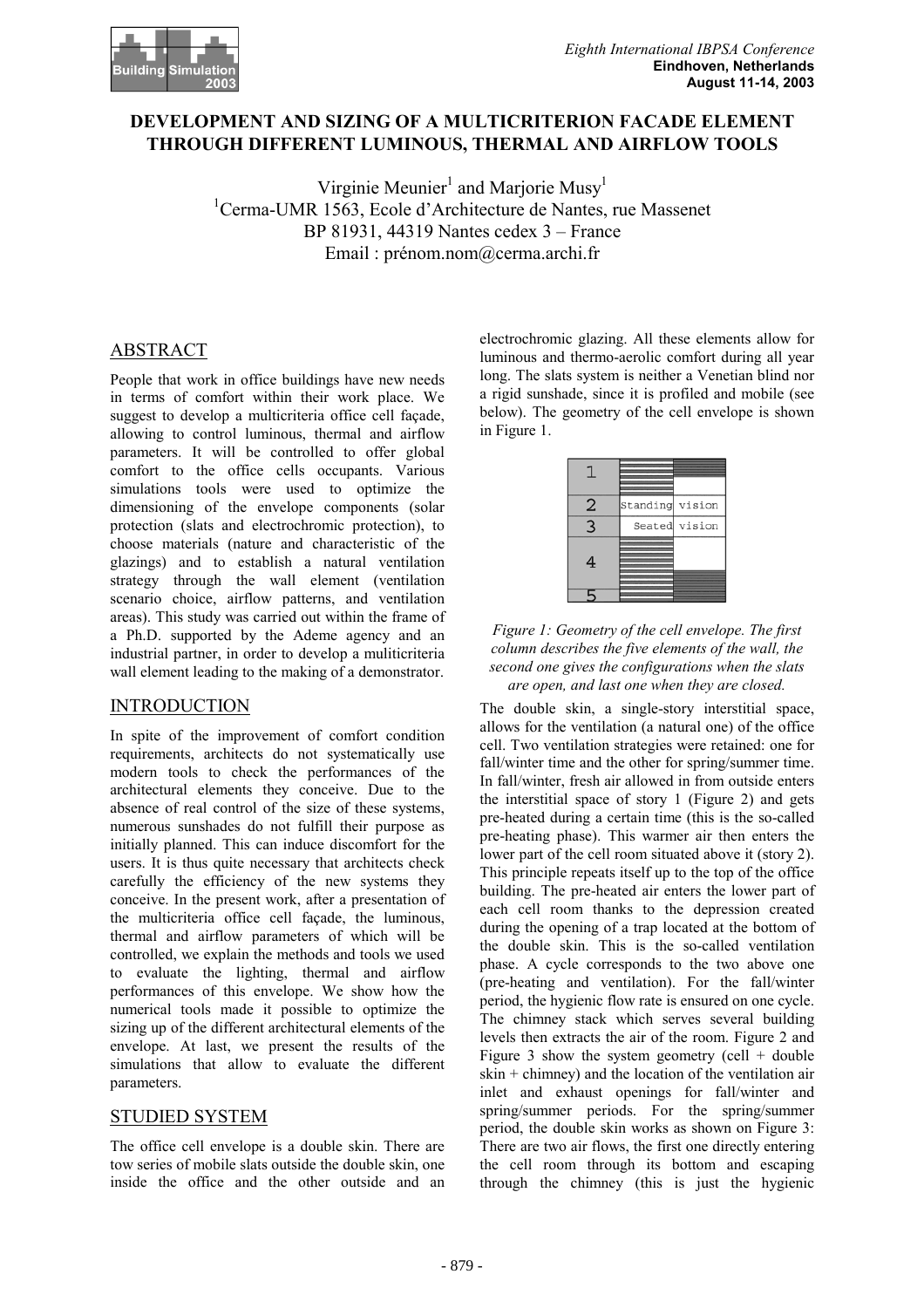

# **DEVELOPMENT AND SIZING OF A MULTICRITERION FACADE ELEMENT THROUGH DIFFERENT LUMINOUS, THERMAL AND AIRFLOW TOOLS**

Virginie Meunier<sup>1</sup> and Marjorie Musy<sup>1</sup> 1 Cerma-UMR 1563, Ecole d'Architecture de Nantes, rue Massenet BP 81931, 44319 Nantes cedex 3 – France Email : prénom.nom@cerma.archi.fr

# ABSTRACT

People that work in office buildings have new needs in terms of comfort within their work place. We suggest to develop a multicriteria office cell façade, allowing to control luminous, thermal and airflow parameters. It will be controlled to offer global comfort to the office cells occupants. Various simulations tools were used to optimize the dimensioning of the envelope components (solar protection (slats and electrochromic protection), to choose materials (nature and characteristic of the glazings) and to establish a natural ventilation strategy through the wall element (ventilation scenario choice, airflow patterns, and ventilation areas). This study was carried out within the frame of a Ph.D. supported by the Ademe agency and an industrial partner, in order to develop a muliticriteria wall element leading to the making of a demonstrator.

# INTRODUCTION

In spite of the improvement of comfort condition requirements, architects do not systematically use modern tools to check the performances of the architectural elements they conceive. Due to the absence of real control of the size of these systems, numerous sunshades do not fulfill their purpose as initially planned. This can induce discomfort for the users. It is thus quite necessary that architects check carefully the efficiency of the new systems they conceive. In the present work, after a presentation of the multicriteria office cell façade, the luminous, thermal and airflow parameters of which will be controlled, we explain the methods and tools we used to evaluate the lighting, thermal and airflow performances of this envelope. We show how the numerical tools made it possible to optimize the sizing up of the different architectural elements of the envelope. At last, we present the results of the simulations that allow to evaluate the different parameters.

# STUDIED SYSTEM

The office cell envelope is a double skin. There are tow series of mobile slats outside the double skin, one inside the office and the other outside and an

electrochromic glazing. All these elements allow for luminous and thermo-aerolic comfort during all year long. The slats system is neither a Venetian blind nor a rigid sunshade, since it is profiled and mobile (see below). The geometry of the cell envelope is shown in Figure 1.

| 2 | Standing | vision        |
|---|----------|---------------|
| 3 |          | Seated vision |
| 4 |          |               |
|   |          |               |

*Figure 1: Geometry of the cell envelope. The first column describes the five elements of the wall, the second one gives the configurations when the slats are open, and last one when they are closed.* 

The double skin, a single-story interstitial space, allows for the ventilation (a natural one) of the office cell. Two ventilation strategies were retained: one for fall/winter time and the other for spring/summer time. In fall/winter, fresh air allowed in from outside enters the interstitial space of story 1 (Figure 2) and gets pre-heated during a certain time (this is the so-called pre-heating phase). This warmer air then enters the lower part of the cell room situated above it (story 2). This principle repeats itself up to the top of the office building. The pre-heated air enters the lower part of each cell room thanks to the depression created during the opening of a trap located at the bottom of the double skin. This is the so-called ventilation phase. A cycle corresponds to the two above one (pre-heating and ventilation). For the fall/winter period, the hygienic flow rate is ensured on one cycle. The chimney stack which serves several building levels then extracts the air of the room. Figure 2 and Figure 3 show the system geometry (cell  $+$  double skin + chimney) and the location of the ventilation air inlet and exhaust openings for fall/winter and spring/summer periods. For the spring/summer period, the double skin works as shown on Figure 3: There are two air flows, the first one directly entering the cell room through its bottom and escaping through the chimney (this is just the hygienic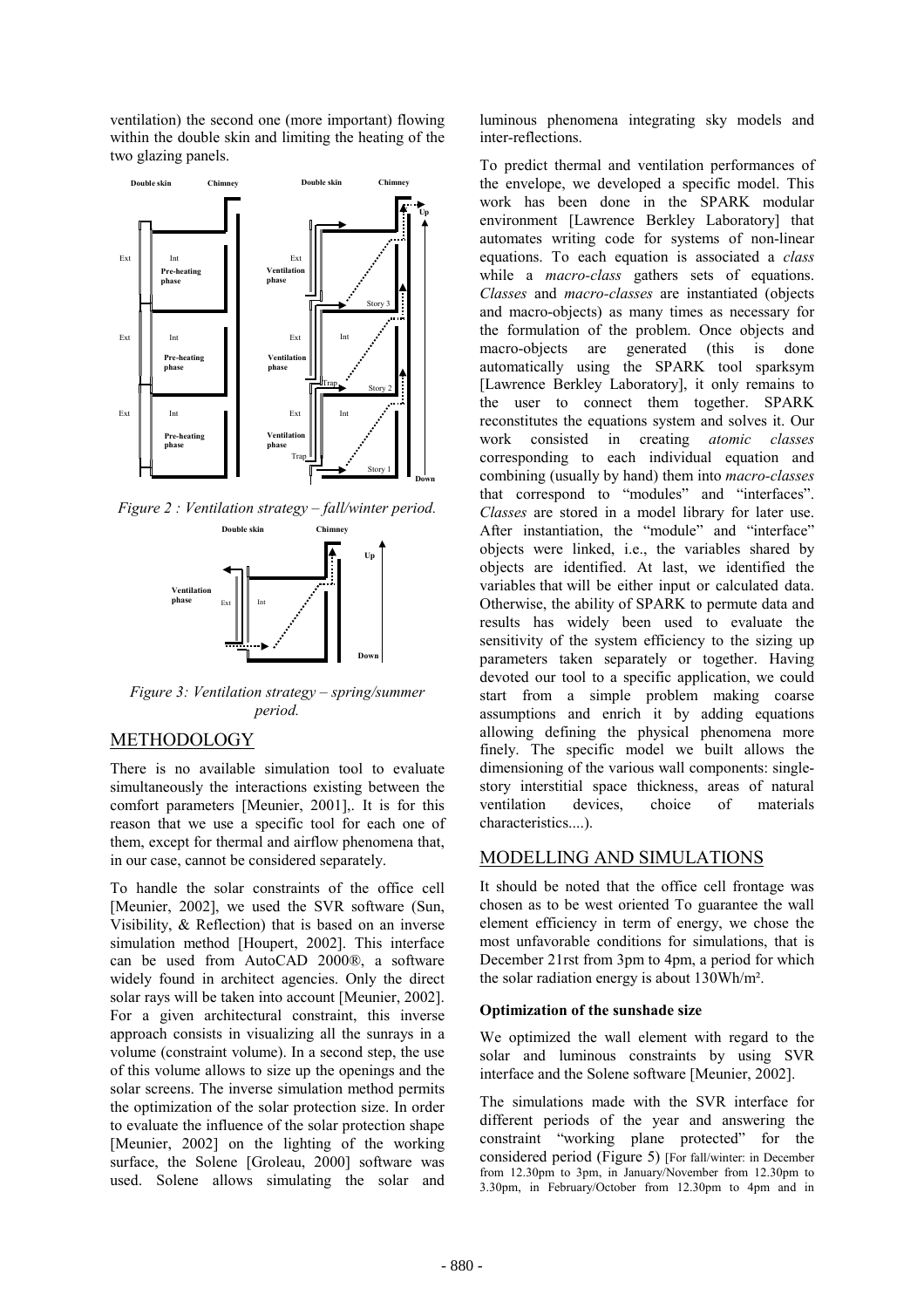ventilation) the second one (more important) flowing within the double skin and limiting the heating of the two glazing panels.



*Figure 2 : Ventilation strategy – fall/winter period.* 



*Figure 3: Ventilation strategy – spring/summer period.* 

# METHODOLOGY

There is no available simulation tool to evaluate simultaneously the interactions existing between the comfort parameters [Meunier, 2001],. It is for this reason that we use a specific tool for each one of them, except for thermal and airflow phenomena that, in our case, cannot be considered separately.

To handle the solar constraints of the office cell [Meunier, 2002], we used the SVR software (Sun, Visibility, & Reflection) that is based on an inverse simulation method [Houpert, 2002]. This interface can be used from AutoCAD 2000®, a software widely found in architect agencies. Only the direct solar rays will be taken into account [Meunier, 2002]. For a given architectural constraint, this inverse approach consists in visualizing all the sunrays in a volume (constraint volume). In a second step, the use of this volume allows to size up the openings and the solar screens. The inverse simulation method permits the optimization of the solar protection size. In order to evaluate the influence of the solar protection shape [Meunier, 2002] on the lighting of the working surface, the Solene [Groleau, 2000] software was used. Solene allows simulating the solar and

luminous phenomena integrating sky models and inter-reflections.

To predict thermal and ventilation performances of the envelope, we developed a specific model. This work has been done in the SPARK modular environment [Lawrence Berkley Laboratory] that automates writing code for systems of non-linear equations. To each equation is associated a *class* while a *macro-class* gathers sets of equations. *Classes* and *macro-classes* are instantiated (objects and macro-objects) as many times as necessary for the formulation of the problem. Once objects and macro-objects are generated (this is done automatically using the SPARK tool sparksym [Lawrence Berkley Laboratory], it only remains to the user to connect them together. SPARK reconstitutes the equations system and solves it. Our work consisted in creating *atomic classes* corresponding to each individual equation and combining (usually by hand) them into *macro-classes* that correspond to "modules" and "interfaces". *Classes* are stored in a model library for later use. After instantiation, the "module" and "interface" objects were linked, i.e., the variables shared by objects are identified. At last, we identified the variables that will be either input or calculated data. Otherwise, the ability of SPARK to permute data and results has widely been used to evaluate the sensitivity of the system efficiency to the sizing up parameters taken separately or together. Having devoted our tool to a specific application, we could start from a simple problem making coarse assumptions and enrich it by adding equations allowing defining the physical phenomena more finely. The specific model we built allows the dimensioning of the various wall components: singlestory interstitial space thickness, areas of natural ventilation devices, choice of materials characteristics....).

# MODELLING AND SIMULATIONS

It should be noted that the office cell frontage was chosen as to be west oriented To guarantee the wall element efficiency in term of energy, we chose the most unfavorable conditions for simulations, that is December 21rst from 3pm to 4pm, a period for which the solar radiation energy is about 130Wh/m².

# **Optimization of the sunshade size**

We optimized the wall element with regard to the solar and luminous constraints by using SVR interface and the Solene software [Meunier, 2002].

The simulations made with the SVR interface for different periods of the year and answering the constraint "working plane protected" for the considered period (Figure 5) [For fall/winter: in December from 12.30pm to 3pm, in January/November from 12.30pm to 3.30pm, in February/October from 12.30pm to 4pm and in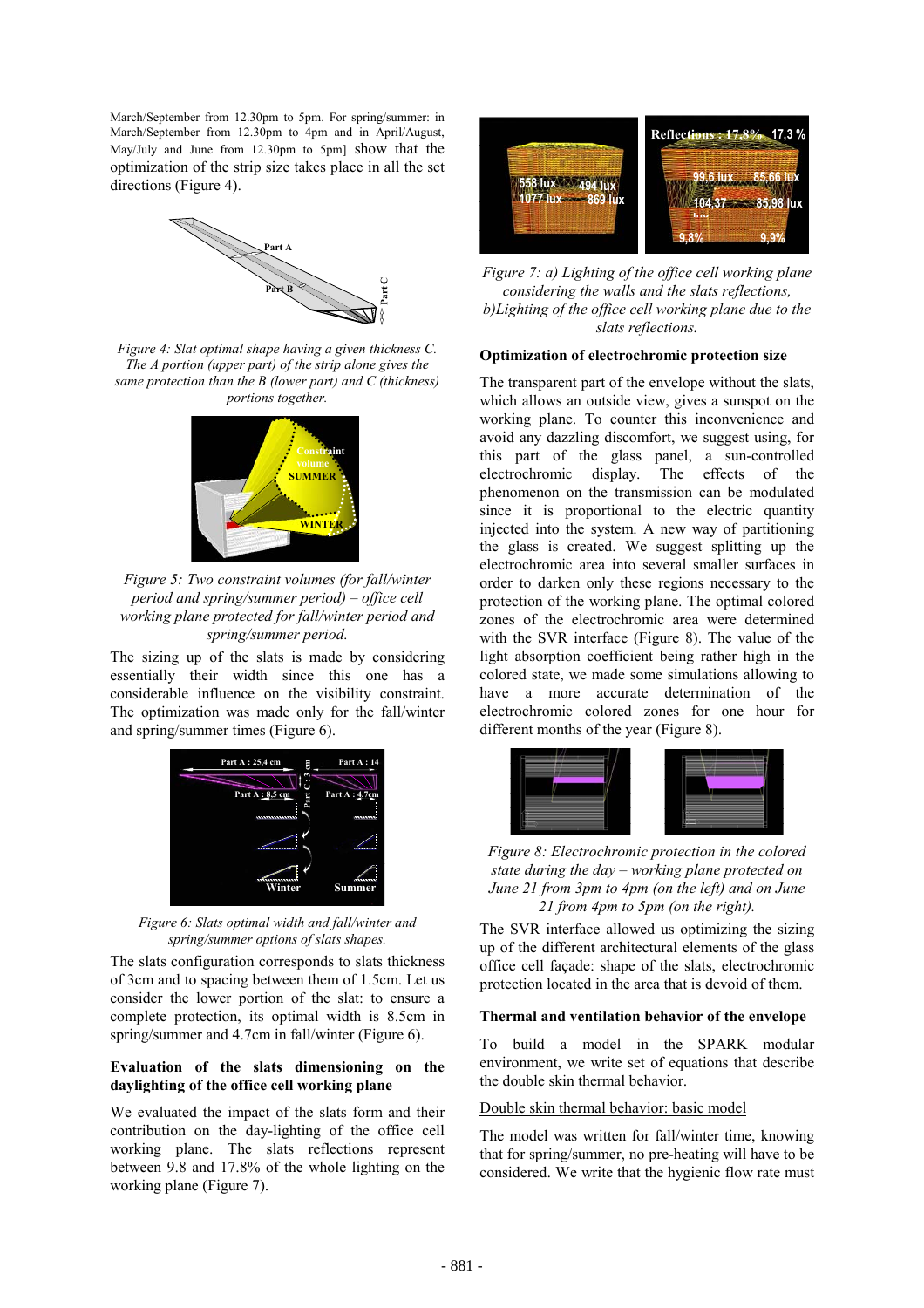March/September from 12.30pm to 5pm. For spring/summer: in March/September from 12.30pm to 4pm and in April/August, May/July and June from 12.30pm to 5pm] show that the optimization of the strip size takes place in all the set directions (Figure 4).



*Figure 4: Slat optimal shape having a given thickness C. The A portion (upper part) of the strip alone gives the same protection than the B (lower part) and C (thickness) portions together.* 



*Figure 5: Two constraint volumes (for fall/winter period and spring/summer period) – office cell working plane protected for fall/winter period and spring/summer period.* 

The sizing up of the slats is made by considering essentially their width since this one has a considerable influence on the visibility constraint. The optimization was made only for the fall/winter and spring/summer times (Figure 6).



*Figure 6: Slats optimal width and fall/winter and spring/summer options of slats shapes.* 

The slats configuration corresponds to slats thickness of 3cm and to spacing between them of 1.5cm. Let us consider the lower portion of the slat: to ensure a complete protection, its optimal width is 8.5cm in spring/summer and 4.7cm in fall/winter (Figure 6).

### **Evaluation of the slats dimensioning on the daylighting of the office cell working plane**

We evaluated the impact of the slats form and their contribution on the day-lighting of the office cell working plane. The slats reflections represent between 9.8 and 17.8% of the whole lighting on the working plane (Figure 7).



*Figure 7: a) Lighting of the office cell working plane considering the walls and the slats reflections, b)Lighting of the office cell working plane due to the slats reflections.* 

### **Optimization of electrochromic protection size**

The transparent part of the envelope without the slats, which allows an outside view, gives a sunspot on the working plane. To counter this inconvenience and avoid any dazzling discomfort, we suggest using, for this part of the glass panel, a sun-controlled electrochromic display. The effects of the phenomenon on the transmission can be modulated since it is proportional to the electric quantity injected into the system. A new way of partitioning the glass is created. We suggest splitting up the electrochromic area into several smaller surfaces in order to darken only these regions necessary to the protection of the working plane. The optimal colored zones of the electrochromic area were determined with the SVR interface (Figure 8). The value of the light absorption coefficient being rather high in the colored state, we made some simulations allowing to have a more accurate determination of the electrochromic colored zones for one hour for different months of the year (Figure 8).



*Figure 8: Electrochromic protection in the colored state during the day – working plane protected on June 21 from 3pm to 4pm (on the left) and on June 21 from 4pm to 5pm (on the right).* 

The SVR interface allowed us optimizing the sizing up of the different architectural elements of the glass office cell façade: shape of the slats, electrochromic protection located in the area that is devoid of them.

### **Thermal and ventilation behavior of the envelope**

To build a model in the SPARK modular environment, we write set of equations that describe the double skin thermal behavior.

#### Double skin thermal behavior: basic model

The model was written for fall/winter time, knowing that for spring/summer, no pre-heating will have to be considered. We write that the hygienic flow rate must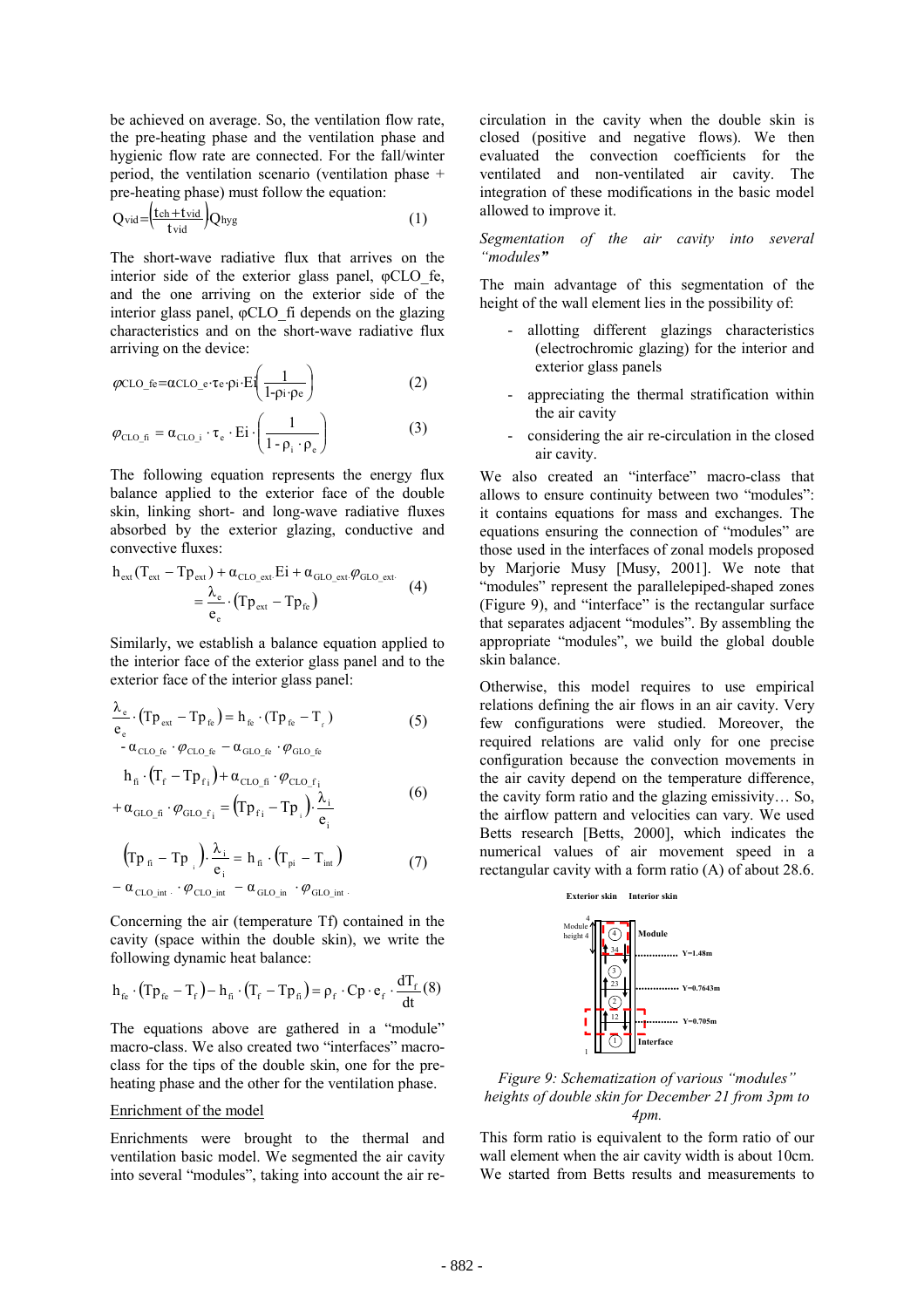be achieved on average. So, the ventilation flow rate, the pre-heating phase and the ventilation phase and hygienic flow rate are connected. For the fall/winter period, the ventilation scenario (ventilation phase + pre-heating phase) must follow the equation:

$$
Q_{\text{vid}} = \left(\frac{\text{tch} + \text{tvid}}{\text{tvid}}\right) Q_{\text{hyg}} \tag{1}
$$

The short-wave radiative flux that arrives on the interior side of the exterior glass panel,  $\phi$ CLO fe, and the one arriving on the exterior side of the interior glass panel, φCLO\_fi depends on the glazing characteristics and on the short-wave radiative flux arriving on the device:

$$
\varphi \text{CLO}_{\_}f \text{e} = \alpha \text{CLO}_{\_}e \cdot \tau \text{e} \cdot \text{pi} \cdot \text{Ei}\left(\frac{1}{1 - \rho \text{i} \cdot \rho \text{e}}\right) \tag{2}
$$

$$
\varphi_{\text{CLO}_{\perp} \text{fi}} = \alpha_{\text{CLO}_{\perp} \text{i}} \cdot \tau_{\text{e}} \cdot \text{Ei} \cdot \left( \frac{1}{1 - \rho_{\text{i}} \cdot \rho_{\text{e}}} \right) \tag{3}
$$

The following equation represents the energy flux balance applied to the exterior face of the double skin, linking short- and long-wave radiative fluxes absorbed by the exterior glazing, conductive and convective fluxes:

$$
h_{ext}(T_{ext} - Tp_{ext}) + \alpha_{CLO\_ext} Ei + \alpha_{GLO\_ext} \varphi_{GLO\_ext}.
$$
  
= 
$$
\frac{\lambda_e}{e_e} \cdot (Tp_{ext} - Tp_{fe})
$$
 (4)

Similarly, we establish a balance equation applied to the interior face of the exterior glass panel and to the exterior face of the interior glass panel:

$$
\frac{\lambda_{e}}{e_{e}} \cdot (Tp_{ext} - Tp_{fe}) = h_{fe} \cdot (Tp_{fe} - T_{f})
$$
\n
$$
- \alpha_{CLO_{fe}} \cdot \varphi_{CLO_{fe}} - \alpha_{GLO_{fe}} \cdot \varphi_{GLO_{fe}}
$$
\n
$$
h_{fi} \cdot (T_{f} - Tp_{fi}) + \alpha_{CLO_{fi}} \cdot \varphi_{CLO_{f}i}
$$
\n
$$
(6)
$$

$$
+\alpha_{\text{GLO}_{\perp} \text{fi}} \cdot \varphi_{\text{GLO}_{\perp} \text{f}_i} = (\text{Tp}_{\text{f}_i} - \text{Tp}_{\text{i}}) \cdot \frac{\lambda_i}{e_i}
$$

$$
(\text{Tp}_{fi} - \text{Tp}_{i}) \cdot \frac{\lambda_{i}}{e_{i}} = h_{fi} \cdot (\text{T}_{pi} - \text{T}_{int})
$$
  
-  $\alpha_{\text{cLO\_int}} \cdot \varphi_{\text{cLO\_int}} - \alpha_{\text{GLO\_int}} \cdot \varphi_{\text{GLO\_int}}.$  (7)

Concerning the air (temperature Tf) contained in the cavity (space within the double skin), we write the following dynamic heat balance:

$$
h_{\hat{\mathrm{r}}_{\mathrm{c}}}\cdot (Tp_{\hat{\mathrm{r}}_{\mathrm{c}}}-T_{\mathrm{r}}) - h_{\hat{\mathrm{n}}}\cdot (T_{\mathrm{r}}-Tp_{\hat{\mathrm{n}}}) = \rho_{\mathrm{f}}\cdot Cp\cdot e_{\mathrm{f}}\cdot \frac{dT_{\mathrm{f}}}{dt}(8)
$$

The equations above are gathered in a "module" macro-class. We also created two "interfaces" macroclass for the tips of the double skin, one for the preheating phase and the other for the ventilation phase.

#### Enrichment of the model

Enrichments were brought to the thermal and ventilation basic model. We segmented the air cavity into several "modules", taking into account the air re-

circulation in the cavity when the double skin is closed (positive and negative flows). We then evaluated the convection coefficients for the ventilated and non-ventilated air cavity. The integration of these modifications in the basic model allowed to improve it.

*Segmentation of the air cavity into several "modules"* 

The main advantage of this segmentation of the height of the wall element lies in the possibility of:

- allotting different glazings characteristics (electrochromic glazing) for the interior and exterior glass panels
- appreciating the thermal stratification within the air cavity
- considering the air re-circulation in the closed air cavity.

We also created an "interface" macro-class that allows to ensure continuity between two "modules": it contains equations for mass and exchanges. The equations ensuring the connection of "modules" are those used in the interfaces of zonal models proposed by Marjorie Musy [Musy, 2001]. We note that "modules" represent the parallelepiped-shaped zones (Figure 9), and "interface" is the rectangular surface that separates adjacent "modules". By assembling the appropriate "modules", we build the global double skin balance.

Otherwise, this model requires to use empirical relations defining the air flows in an air cavity. Very few configurations were studied. Moreover, the required relations are valid only for one precise configuration because the convection movements in the air cavity depend on the temperature difference, the cavity form ratio and the glazing emissivity… So, the airflow pattern and velocities can vary. We used Betts research [Betts, 2000], which indicates the numerical values of air movement speed in a rectangular cavity with a form ratio (A) of about 28.6.



*Figure 9: Schematization of various "modules" heights of double skin for December 21 from 3pm to 4pm.* 

This form ratio is equivalent to the form ratio of our wall element when the air cavity width is about 10cm. We started from Betts results and measurements to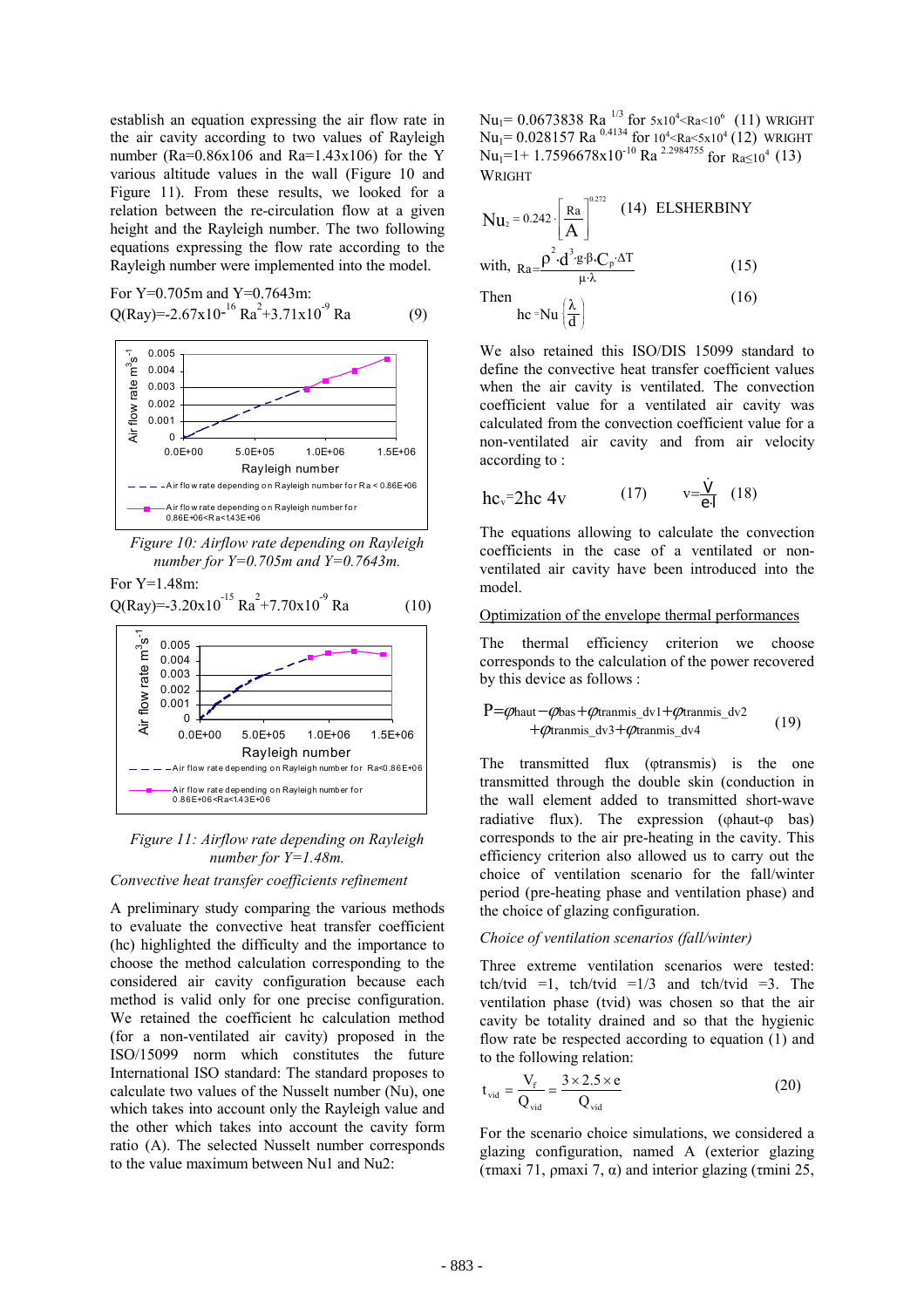establish an equation expressing the air flow rate in the air cavity according to two values of Rayleigh number (Ra= $0.86x106$  and Ra= $1.43x106$ ) for the Y various altitude values in the wall (Figure 10 and Figure 11). From these results, we looked for a relation between the re-circulation flow at a given height and the Rayleigh number. The two following equations expressing the flow rate according to the Rayleigh number were implemented into the model.

For Y=0.705m and Y=0.7643m:  $Q(Ray) = -2.67x10^{-16} Ra^{2} + 3.71x10^{-9} Ra$  (9)



*Figure 10: Airflow rate depending on Rayleigh number for Y=0.705m and Y=0.7643m.* 

For Y=1.48m:



*Figure 11: Airflow rate depending on Rayleigh number for Y=1.48m.* 

### *Convective heat transfer coefficients refinement*

A preliminary study comparing the various methods to evaluate the convective heat transfer coefficient (hc) highlighted the difficulty and the importance to choose the method calculation corresponding to the considered air cavity configuration because each method is valid only for one precise configuration. We retained the coefficient hc calculation method (for a non-ventilated air cavity) proposed in the ISO/15099 norm which constitutes the future International ISO standard: The standard proposes to calculate two values of the Nusselt number (Nu), one which takes into account only the Rayleigh value and the other which takes into account the cavity form ratio (A). The selected Nusselt number corresponds to the value maximum between Nu1 and Nu2:

 $Nu_1$ = 0.0673838 Ra<sup>1/3</sup> for 5x10<sup>4</sup> <Ra<10<sup>6</sup> (11) WRIGHT Nu<sub>1</sub> = 0.028157 Ra<sup>0.4134</sup> for  $10^4$  <Ra<5x10<sup>4</sup> (12) WRIGHT  $Nu_1=1+1.7596678x10^{-10}$  Ra <sup>2.2984755</sup> for  $Ra \le 10^4$  (13) WRIGHT

$$
Nu_{2} = 0.242 \cdot \left[\frac{Ra}{A}\right]^{0.272} (14) ELSHERBINY
$$
  
with, 
$$
Ra = \frac{\rho^{2} \cdot d^{3} g \cdot \beta \cdot C_{p} \cdot \Delta T}{\mu \cdot \lambda}
$$
 (15)  
Then  

$$
hc = Nu \left(\frac{\lambda}{d}\right)
$$
 (16)

l

We also retained this ISO/DIS 15099 standard to define the convective heat transfer coefficient values when the air cavity is ventilated. The convection coefficient value for a ventilated air cavity was calculated from the convection coefficient value for a non-ventilated air cavity and from air velocity according to :

$$
hc_v = 2hc \, 4v
$$
 (17)  $v = \frac{\dot{V}}{e^4}$  (18)

The equations allowing to calculate the convection coefficients in the case of a ventilated or nonventilated air cavity have been introduced into the model.

#### Optimization of the envelope thermal performances

The thermal efficiency criterion we choose corresponds to the calculation of the power recovered by this device as follows :

$$
\begin{array}{ll}\nP = \varphi_{\text{haut}} - \varphi_{\text{bas}} + \varphi_{\text{transmis\_dv1}} + \varphi_{\text{transmis\_dv2}} \\
+ \varphi_{\text{transmis\_dv3}} + \varphi_{\text{transmis\_dv4}}\n\end{array} \tag{19}
$$

The transmitted flux (*otransmis*) is the one transmitted through the double skin (conduction in the wall element added to transmitted short-wave radiative flux). The expression ( $\varphi$ haut- $\varphi$  bas) corresponds to the air pre-heating in the cavity. This efficiency criterion also allowed us to carry out the choice of ventilation scenario for the fall/winter period (pre-heating phase and ventilation phase) and the choice of glazing configuration.

#### *Choice of ventilation scenarios (fall/winter)*

Three extreme ventilation scenarios were tested: tch/tvid =1, tch/tvid =1/3 and tch/tvid =3. The ventilation phase (tvid) was chosen so that the air cavity be totality drained and so that the hygienic flow rate be respected according to equation (1) and to the following relation:

$$
t_{\rm vid} = \frac{V_{\rm f}}{Q_{\rm vid}} = \frac{3 \times 2.5 \times e}{Q_{\rm vid}}
$$
 (20)

For the scenario choice simulations, we considered a glazing configuration, named A (exterior glazing (τmaxi 71, ρmaxi 7, α) and interior glazing (τmini 25,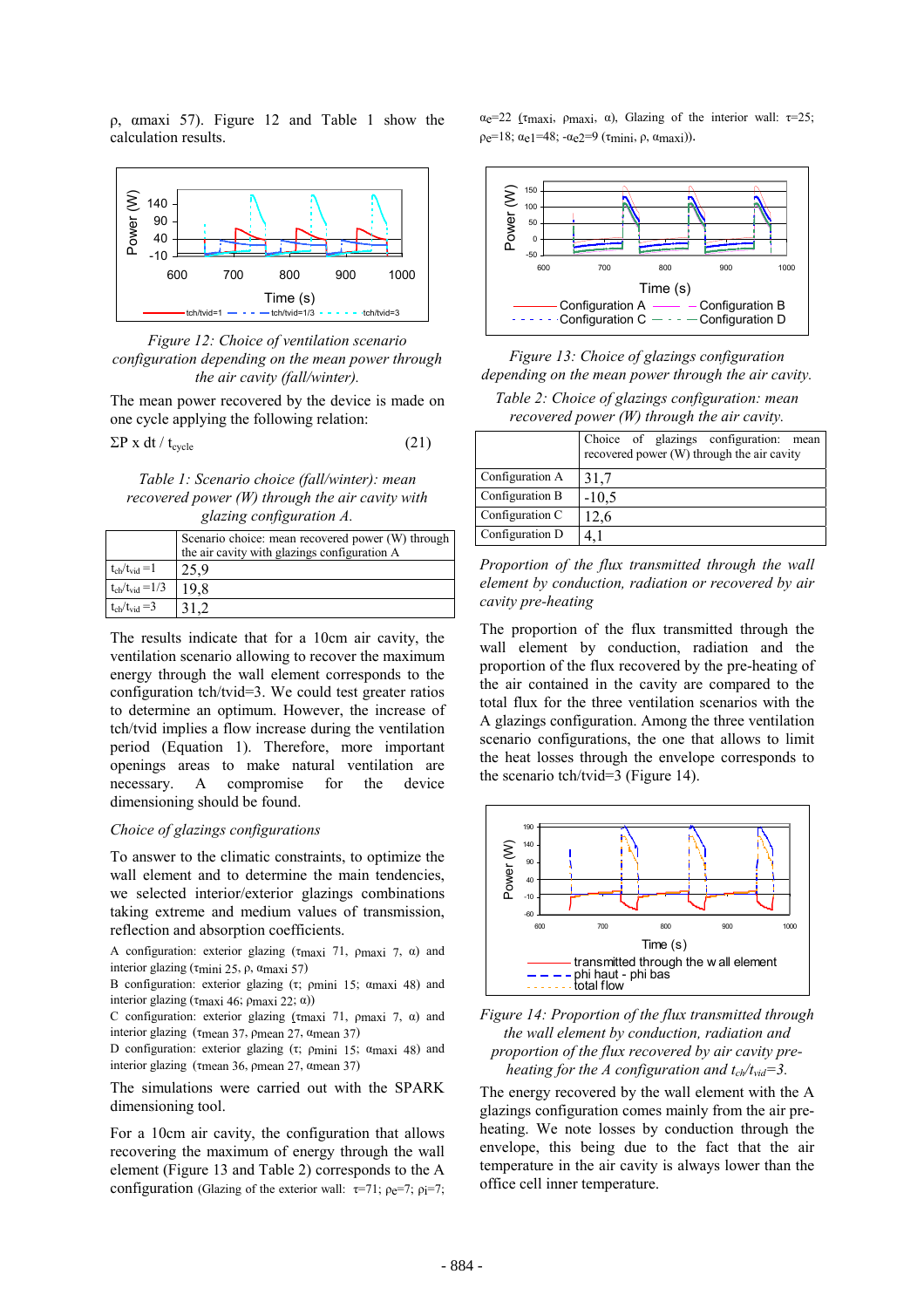ρ, αmaxi 57). Figure 12 and Table 1 show the calculation results.



*Figure 12: Choice of ventilation scenario configuration depending on the mean power through the air cavity (fall/winter).* 

The mean power recovered by the device is made on one cycle applying the following relation:

$$
\Sigma P \times dt / t_{cycle} \tag{21}
$$

*Table 1: Scenario choice (fall/winter): mean recovered power (W) through the air cavity with glazing configuration A.* 

|                              | Scenario choice: mean recovered power (W) through<br>the air cavity with glazings configuration A |
|------------------------------|---------------------------------------------------------------------------------------------------|
| $t_{ch}/t_{vid} = 1$         | 25.9                                                                                              |
| $t_{ch}/t_{vid} = 1/3$       | 19 8                                                                                              |
| $t_{\rm ch}/t_{\rm vid} = 3$ |                                                                                                   |

The results indicate that for a 10cm air cavity, the ventilation scenario allowing to recover the maximum energy through the wall element corresponds to the configuration tch/tvid=3. We could test greater ratios to determine an optimum. However, the increase of tch/tvid implies a flow increase during the ventilation period (Equation 1). Therefore, more important openings areas to make natural ventilation are necessary. A compromise for the device dimensioning should be found.

#### *Choice of glazings configurations*

To answer to the climatic constraints, to optimize the wall element and to determine the main tendencies, we selected interior/exterior glazings combinations taking extreme and medium values of transmission, reflection and absorption coefficients.

A configuration: exterior glazing (τmaxi 71, ρmaxi 7, α) and interior glazing (τmini 25, ρ, αmaxi 57)

B configuration: exterior glazing (τ; ρmini 15; αmaxi 48) and interior glazing (τmaxi 46; ρmaxi 22; α))

C configuration: exterior glazing ( $\tau$ maxi 7,  $\rho$ maxi 7,  $\alpha$ ) and interior glazing (τmean 37, ρmean 27, αmean 37)

D configuration: exterior glazing (τ; ρmini 15; αmaxi 48) and interior glazing (τmean 36, ρmean 27, αmean 37)

The simulations were carried out with the SPARK dimensioning tool.

For a 10cm air cavity, the configuration that allows recovering the maximum of energy through the wall element (Figure 13 and Table 2) corresponds to the A configuration (Glazing of the exterior wall:  $\tau=71$ ;  $\rho e=7$ ;  $\rho i=7$ ; αe=22 (τmaxi, ρmaxi, α), Glazing of the interior wall: τ=25;  $ρ<sub>e</sub>=18; α<sub>e</sub>1=48; -α<sub>e</sub>2=9 (τ<sub>mini</sub>, ρ, α<sub>maxi</sub>)).$ 



*Figure 13: Choice of glazings configuration depending on the mean power through the air cavity. Table 2: Choice of glazings configuration: mean* 

*recovered power (W) through the air cavity.* 

|                 | Choice of glazings configuration: mean<br>recovered power (W) through the air cavity |
|-----------------|--------------------------------------------------------------------------------------|
| Configuration A | 31,7                                                                                 |
| Configuration B | $-10,5$                                                                              |
| Configuration C | 12,6                                                                                 |
| Configuration D |                                                                                      |

*Proportion of the flux transmitted through the wall element by conduction, radiation or recovered by air cavity pre-heating*

The proportion of the flux transmitted through the wall element by conduction, radiation and the proportion of the flux recovered by the pre-heating of the air contained in the cavity are compared to the total flux for the three ventilation scenarios with the A glazings configuration. Among the three ventilation scenario configurations, the one that allows to limit the heat losses through the envelope corresponds to the scenario tch/tvid=3 (Figure 14).



*Figure 14: Proportion of the flux transmitted through the wall element by conduction, radiation and proportion of the flux recovered by air cavity preheating for the A configuration and*  $t_{ch}/t_{vid} = 3$ *.* 

The energy recovered by the wall element with the A glazings configuration comes mainly from the air preheating. We note losses by conduction through the envelope, this being due to the fact that the air temperature in the air cavity is always lower than the office cell inner temperature.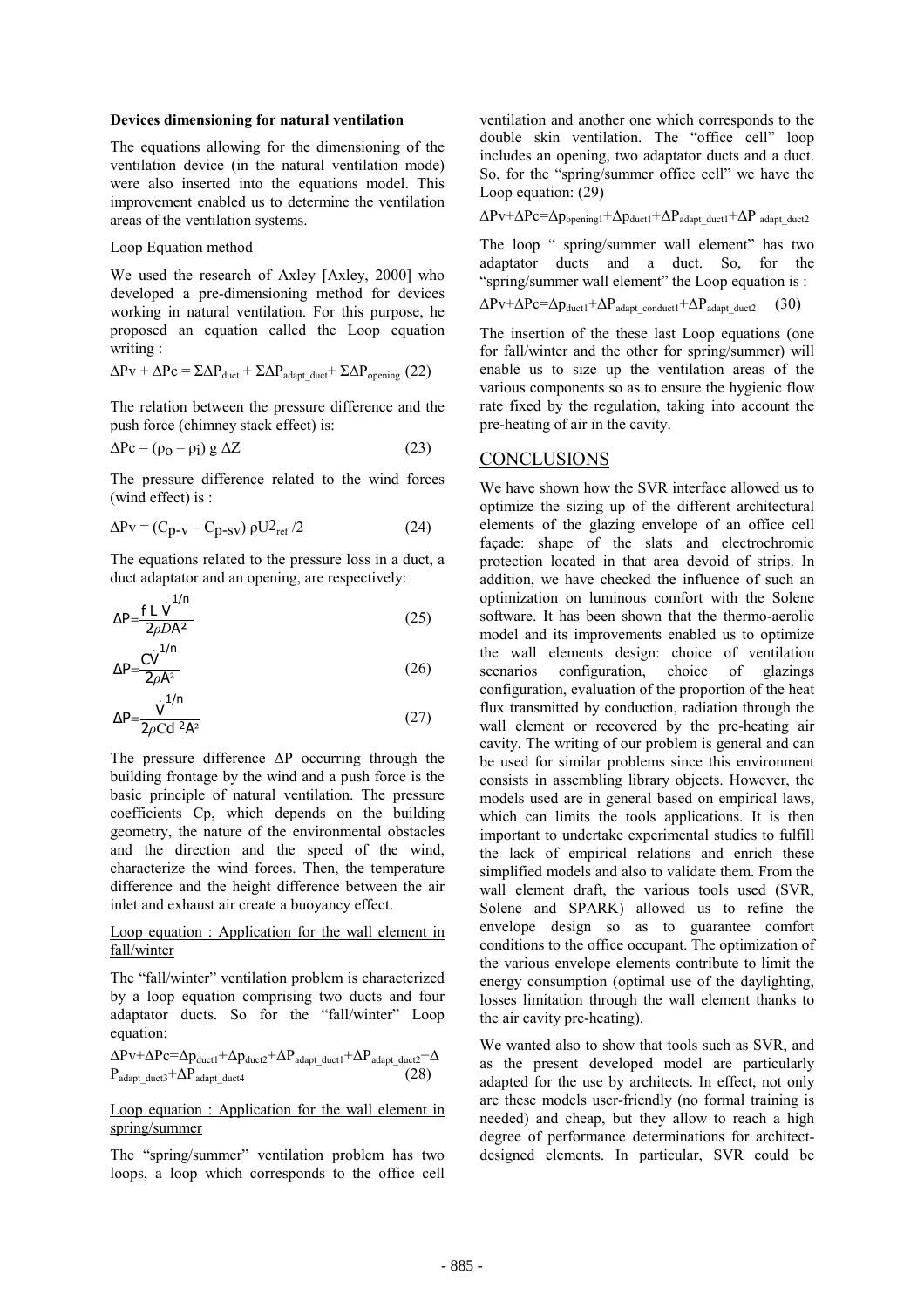#### **Devices dimensioning for natural ventilation**

The equations allowing for the dimensioning of the ventilation device (in the natural ventilation mode) were also inserted into the equations model. This improvement enabled us to determine the ventilation areas of the ventilation systems.

#### Loop Equation method

1/n

We used the research of Axley [Axley, 2000] who developed a pre-dimensioning method for devices working in natural ventilation. For this purpose, he proposed an equation called the Loop equation writing :

$$
\Delta P \mathbf{v} + \Delta P \mathbf{c} = \Sigma \Delta P_{\text{duct}} + \Sigma \Delta P_{\text{adapt\_duct}} + \Sigma \Delta P_{\text{opening}} \text{ (22)}
$$

The relation between the pressure difference and the push force (chimney stack effect) is:

$$
\Delta \text{Pc} = (\rho_0 - \rho_1) g \Delta Z \tag{23}
$$

The pressure difference related to the wind forces (wind effect) is :

$$
\Delta P v = (C_{p-v} - C_{p-sv}) \rho U_{ref}^2 / 2 \tag{24}
$$

The equations related to the pressure loss in a duct, a duct adaptator and an opening, are respectively:

$$
\Delta P = \frac{f L \dot{V}^{1/n}}{2\rho D A^2}
$$
 (25)

$$
\Delta P = \frac{CV^{1/n}}{2\rho A^2} \tag{26}
$$

$$
\Delta P = \frac{\dot{V}^{1/n}}{2\rho C d^2 A^2} \tag{27}
$$

The pressure difference ∆P occurring through the building frontage by the wind and a push force is the basic principle of natural ventilation. The pressure coefficients Cp, which depends on the building geometry, the nature of the environmental obstacles and the direction and the speed of the wind, characterize the wind forces. Then, the temperature difference and the height difference between the air inlet and exhaust air create a buoyancy effect.

### Loop equation : Application for the wall element in fall/winter

The "fall/winter" ventilation problem is characterized by a loop equation comprising two ducts and four adaptator ducts. So for the "fall/winter" Loop equation:

$$
\Delta Pv + \Delta Pc = \Delta p_{duct1} + \Delta p_{duct2} + \Delta P_{adapt\_duct1} + \Delta P_{adapt\_duct2} + \Delta P_{adapt\_duct3} + \Delta P_{adapt\_duct4}
$$
\n(28)

#### Loop equation : Application for the wall element in spring/summer

The "spring/summer" ventilation problem has two loops, a loop which corresponds to the office cell

ventilation and another one which corresponds to the double skin ventilation. The "office cell" loop includes an opening, two adaptator ducts and a duct. So, for the "spring/summer office cell" we have the Loop equation: (29)

 $\Delta Pv+\Delta Pc=\Delta p_{\text{opering1}}+\Delta p_{\text{duct1}}+\Delta P_{\text{adapt duct1}}+\Delta P$  adapt\_duct2

The loop " spring/summer wall element" has two adaptator ducts and a duct. So, for the "spring/summer wall element" the Loop equation is :

$$
\Delta Pv + \Delta Pc = \Delta p_{duct1} + \Delta P_{adapt\_conduct1} + \Delta P_{adapt\_duct2} \tag{30}
$$

The insertion of the these last Loop equations (one for fall/winter and the other for spring/summer) will enable us to size up the ventilation areas of the various components so as to ensure the hygienic flow rate fixed by the regulation, taking into account the pre-heating of air in the cavity.

# CONCLUSIONS

We have shown how the SVR interface allowed us to optimize the sizing up of the different architectural elements of the glazing envelope of an office cell façade: shape of the slats and electrochromic protection located in that area devoid of strips. In addition, we have checked the influence of such an optimization on luminous comfort with the Solene software. It has been shown that the thermo-aerolic model and its improvements enabled us to optimize the wall elements design: choice of ventilation scenarios configuration, choice of glazings configuration, evaluation of the proportion of the heat flux transmitted by conduction, radiation through the wall element or recovered by the pre-heating air cavity. The writing of our problem is general and can be used for similar problems since this environment consists in assembling library objects. However, the models used are in general based on empirical laws, which can limits the tools applications. It is then important to undertake experimental studies to fulfill the lack of empirical relations and enrich these simplified models and also to validate them. From the wall element draft, the various tools used (SVR, Solene and SPARK) allowed us to refine the envelope design so as to guarantee comfort conditions to the office occupant. The optimization of the various envelope elements contribute to limit the energy consumption (optimal use of the daylighting, losses limitation through the wall element thanks to the air cavity pre-heating).

We wanted also to show that tools such as SVR, and as the present developed model are particularly adapted for the use by architects. In effect, not only are these models user-friendly (no formal training is needed) and cheap, but they allow to reach a high degree of performance determinations for architectdesigned elements. In particular, SVR could be